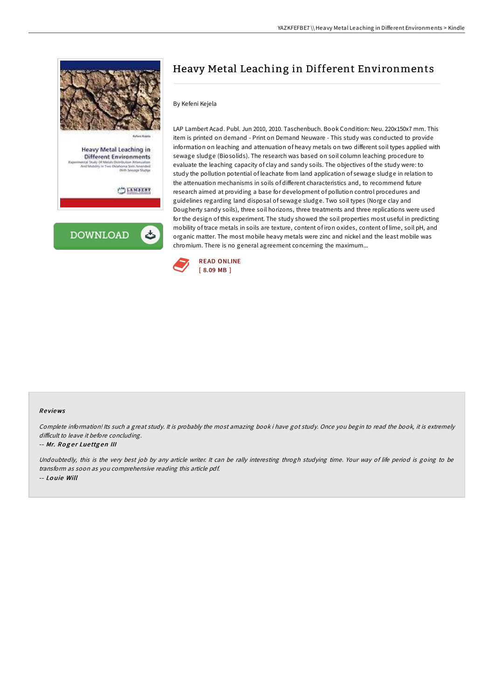

**DOWNLOAD** 

# Heavy Metal Leaching in Different Environments

### By Kefeni Kejela

LAP Lambert Acad. Publ. Jun 2010, 2010. Taschenbuch. Book Condition: Neu. 220x150x7 mm. This item is printed on demand - Print on Demand Neuware - This study was conducted to provide information on leaching and attenuation of heavy metals on two different soil types applied with sewage sludge (Biosolids). The research was based on soil column leaching procedure to evaluate the leaching capacity of clay and sandy soils. The objectives of the study were: to study the pollution potential of leachate from land application of sewage sludge in relation to the attenuation mechanisms in soils of different characteristics and, to recommend future research aimed at providing a base for development of pollution control procedures and guidelines regarding land disposal of sewage sludge. Two soil types (Norge clay and Dougherty sandy soils), three soil horizons, three treatments and three replications were used for the design of this experiment. The study showed the soil properties most useful in predicting mobility of trace metals in soils are texture, content of iron oxides, content of lime, soil pH, and organic matter. The most mobile heavy metals were zinc and nickel and the least mobile was chromium. There is no general agreement concerning the maximum...



#### Re views

Complete information! Its such <sup>a</sup> great study. It is probably the most amazing book i have got study. Once you begin to read the book, it is extremely difficult to leave it before concluding.

#### -- Mr. Roger Luettgen III

Undoubtedly, this is the very best job by any article writer. It can be rally interesting throgh studying time. Your way of life period is going to be transform as soon as you comprehensive reading this article pdf. -- Lo uie Will